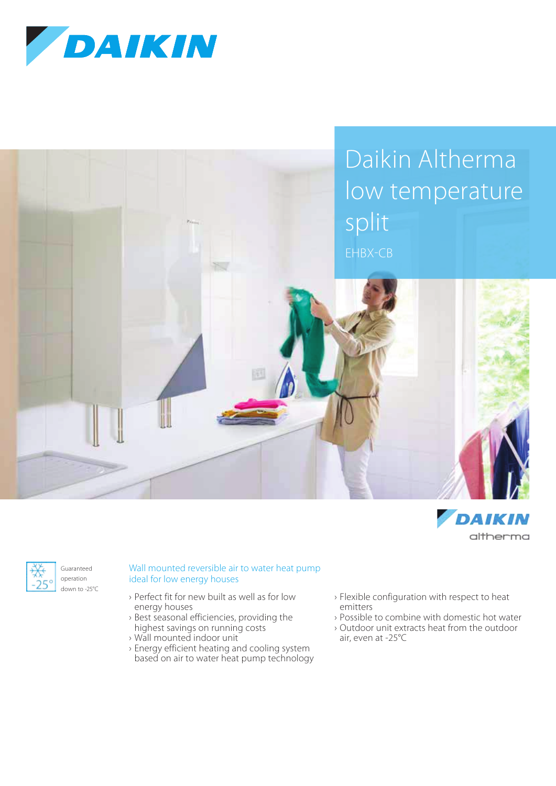







Guaranteed operation down to -25°C Wall mounted reversible air to water heat pump ideal for low energy houses

- › Perfect fit for new built as well as for low energy houses
- › Best seasonal efficiencies, providing the highest savings on running costs
- › Wall mounted indoor unit
- › Energy efficient heating and cooling system based on air to water heat pump technology
- › Flexible configuration with respect to heat emitters
- › Possible to combine with domestic hot water
- › Outdoor unit extracts heat from the outdoor air, even at -25°C